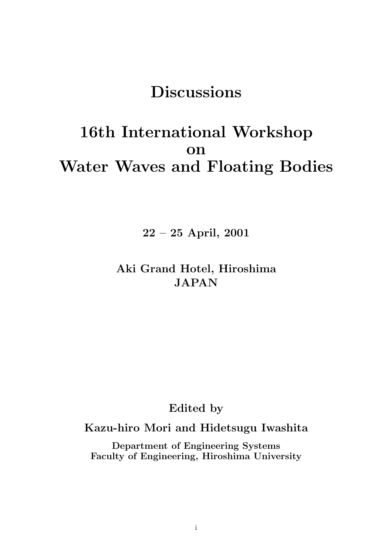# **Discussions**

# **16th International Workshop on Water Waves and Floating Bodies**

**22 – 25 April, 2001**

## **Aki Grand Hotel, Hiroshima JAPAN**

## **Edited by**

## **Kazu-hiro Mori and Hidetsugu Iwashita**

**Department of Engineering Systems Faculty of Engineering, Hiroshima University**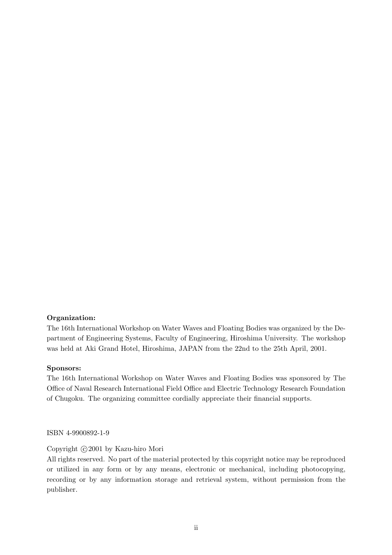#### **Organization:**

The 16th International Workshop on Water Waves and Floating Bodies was organized by the Department of Engineering Systems, Faculty of Engineering, Hiroshima University. The workshop was held at Aki Grand Hotel, Hiroshima, JAPAN from the 22nd to the 25th April, 2001.

#### **Sponsors:**

The 16th International Workshop on Water Waves and Floating Bodies was sponsored by The Office of Naval Research International Field Office and Electric Technology Research Foundation of Chugoku. The organizing committee cordially appreciate their financial supports.

ISBN 4-9900892-1-9

#### Copyright  $\odot$  2001 by Kazu-hiro Mori

All rights reserved. No part of the material protected by this copyright notice may be reproduced or utilized in any form or by any means, electronic or mechanical, including photocopying, recording or by any information storage and retrieval system, without permission from the publisher.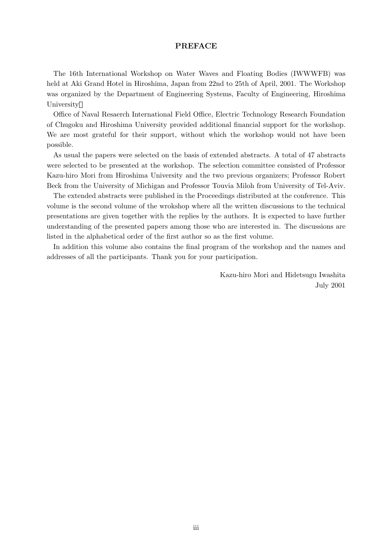#### **PREFACE**

The 16th International Workshop on Water Waves and Floating Bodies (IWWWFB) was held at Aki Grand Hotel in Hiroshima, Japan from 22nd to 25th of April, 2001. The Workshop was organized by the Department of Engineering Systems, Faculty of Engineering, Hiroshima University

Office of Naval Resaerch International Field Office, Electric Technology Research Foundation of Chugoku and Hiroshima University provided additional financial support for the workshop. We are most grateful for their support, without which the workshop would not have been possible.

As usual the papers were selected on the basis of extended abstracts. A total of 47 abstracts were selected to be presented at the workshop. The selection committee consisted of Professor Kazu-hiro Mori from Hiroshima University and the two previous organizers; Professor Robert Beck from the University of Michigan and Professor Touvia Miloh from University of Tel-Aviv.

The extended abstracts were published in the Proceedings distributed at the conference. This volume is the second volume of the wrokshop where all the written discussions to the technical presentations are given together with the replies by the authors. It is expected to have further understanding of the presented papers among those who are interested in. The discussions are listed in the alphabetical order of the first author so as the first volume.

In addition this volume also contains the final program of the workshop and the names and addresses of all the participants. Thank you for your participation.

> Kazu-hiro Mori and Hidetsugu Iwashita July 2001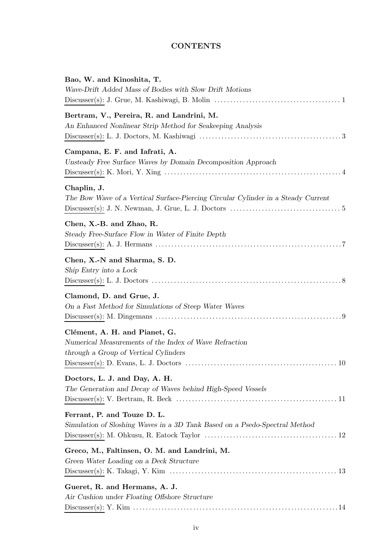#### **CONTENTS**

| Bao, W. and Kinoshita, T.<br>Wave-Drift Added Mass of Bodies with Slow Drift Motions                                                                                                                                       |
|----------------------------------------------------------------------------------------------------------------------------------------------------------------------------------------------------------------------------|
| Bertram, V., Pereira, R. and Landrini, M.<br>An Enhanced Nonlinear Strip Method for Seakeeping Analysis                                                                                                                    |
| Campana, E. F. and Iafrati, A.<br>Unsteady Free Surface Waves by Domain Decomposition Approach                                                                                                                             |
| Chaplin, J.<br>The Bow Wave of a Vertical Surface-Piercing Circular Cylinder in a Steady Current<br>$Discusser(s): J. N. Newman, J. Grue, L. J. Doctors  \ldots \ldots \ldots \ldots \ldots \ldots \ldots \ldots \ldots 5$ |
| Chen, X.-B. and Zhao, R.<br>Steady Free-Surface Flow in Water of Finite Depth                                                                                                                                              |
| Chen, X.-N and Sharma, S. D.<br>Ship Entry into a Lock                                                                                                                                                                     |
| Clamond, D. and Grue, J.<br>On a Fast Method for Simulations of Steep Water Waves                                                                                                                                          |
| Clément, A. H. and Pianet, G.<br>Numerical Measurements of the Index of Wave Refraction<br>through a Group of Vertical Cylinders                                                                                           |
| Doctors, L. J. and Day, A. H.<br>The Generation and Decay of Waves behind High-Speed Vessels                                                                                                                               |
| Ferrant, P. and Touze D. L.<br>Simulation of Sloshing Waves in a 3D Tank Based on a Psedo-Spectral Method                                                                                                                  |
| Greco, M., Faltinsen, O. M. and Landrini, M.<br>Green Water Loading on a Deck Structure                                                                                                                                    |
| Gueret, R. and Hermans, A. J.<br>Air Cushion under Floating Offshore Structure                                                                                                                                             |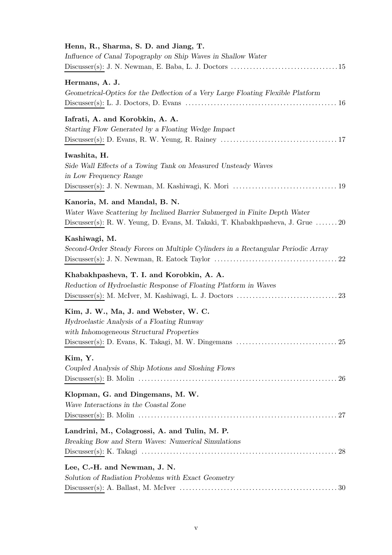| Henn, R., Sharma, S. D. and Jiang, T.<br>Influence of Canal Topography on Ship Waves in Shallow Water                                                                                                                                         |
|-----------------------------------------------------------------------------------------------------------------------------------------------------------------------------------------------------------------------------------------------|
|                                                                                                                                                                                                                                               |
| Hermans, A. J.<br>Geometrical-Optics for the Deflection of a Very Large Floating Flexible Platform                                                                                                                                            |
| Iafrati, A. and Korobkin, A. A.<br>Starting Flow Generated by a Floating Wedge Impact                                                                                                                                                         |
| Iwashita, H.<br>Side Wall Effects of a Towing Tank on Measured Unsteady Waves<br>in Low Frequency Range                                                                                                                                       |
| Kanoria, M. and Mandal, B. N.<br>Water Wave Scattering by Inclined Barrier Submerged in Finite Depth Water<br>Discusser(s): R. W. Yeung, D. Evans, M. Takaki, T. Khabakhpasheva, J. Grue  20                                                  |
| Kashiwagi, M.<br>Second-Order Steady Forces on Multiple Cylinders in a Rectangular Periodic Array                                                                                                                                             |
| Khabakhpasheva, T. I. and Korobkin, A. A.<br>Reduction of Hydroelastic Response of Floating Platform in Waves                                                                                                                                 |
| Kim, J. W., Ma, J. and Webster, W. C.<br>Hydroelastic Analysis of a Floating Runway<br>with Inhomogeneous Structural Properties<br>Discusser(s): D. Evans, K. Takagi, M. W. Dingemans $\dots\dots\dots\dots\dots\dots\dots\dots\dots\dots 25$ |
| Kim, Y.<br>Coupled Analysis of Ship Motions and Sloshing Flows                                                                                                                                                                                |
| Klopman, G. and Dingemans, M. W.<br>Wave Interactions in the Coastal Zone                                                                                                                                                                     |
| Landrini, M., Colagrossi, A. and Tulin, M. P.<br>Breaking Bow and Stern Waves: Numerical Simulations                                                                                                                                          |
| Lee, C.-H. and Newman, J. N.<br>Solution of Radiation Problems with Exact Geometry                                                                                                                                                            |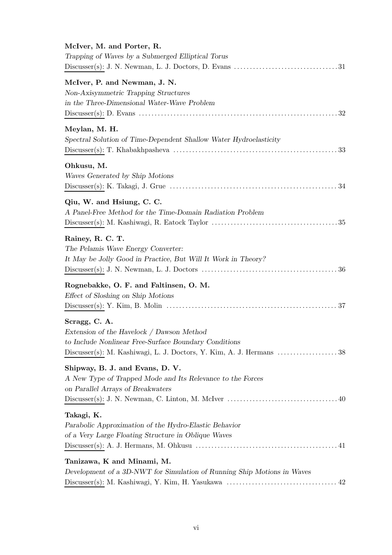| McIver, M. and Porter, R.<br>Trapping of Waves by a Submerged Elliptical Torus                                                     |
|------------------------------------------------------------------------------------------------------------------------------------|
| McIver, P. and Newman, J. N.<br>Non-Axisymmetric Trapping Structures<br>in the Three-Dimensional Water-Wave Problem                |
| Meylan, M. H.<br>Spectral Solution of Time-Dependent Shallow Water Hydroelasticity                                                 |
| Ohkusu, M.<br>Waves Generated by Ship Motions                                                                                      |
| Qiu, W. and Hsiung, C. C.<br>A Panel-Free Method for the Time-Domain Radiation Problem                                             |
| Rainey, R. C. T.<br>The Pelamis Wave Energy Converter:<br>It May be Jolly Good in Practice, But Will It Work in Theory?            |
| Rognebakke, O. F. and Faltinsen, O. M.<br>Effect of Sloshing on Ship Motions                                                       |
| Scragg, C. A.<br>Extension of the Havelock / Dawson Method<br>to Include Nonlinear Free-Surface Boundary Conditions                |
| Shipway, B. J. and Evans, D. V.<br>A New Type of Trapped Mode and Its Relevance to the Forces<br>on Parallel Arrays of Breakwaters |
| Takagi, K.<br>Parabolic Approximation of the Hydro-Elastic Behavior<br>of a Very Large Floating Structure in Oblique Waves         |
| Tanizawa, K and Minami, M.<br>Development of a 3D-NWT for Simulation of Running Ship Motions in Waves                              |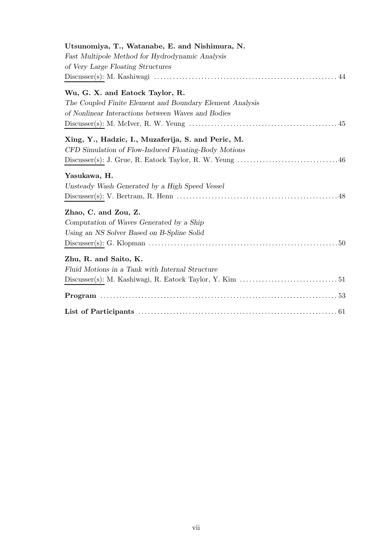| Utsunomiya, T., Watanabe, E. and Nishimura, N.                                                                                         |
|----------------------------------------------------------------------------------------------------------------------------------------|
| Fast Multipole Method for Hydrodynamic Analysis                                                                                        |
| of Very Large Floating Structures                                                                                                      |
|                                                                                                                                        |
| Wu, G. X. and Eatock Taylor, R.                                                                                                        |
| The Coupled Finite Element and Boundary Element Analysis                                                                               |
| of Nonlinear Interactions between Waves and Bodies                                                                                     |
|                                                                                                                                        |
| Xing, Y., Hadzic, I., Muzaferija, S. and Peric, M.                                                                                     |
| CFD Simulation of Flow-Induced Floating-Body Motions                                                                                   |
|                                                                                                                                        |
| Yasukawa, H.                                                                                                                           |
| Unsteady Wash Generated by a High Speed Vessel                                                                                         |
|                                                                                                                                        |
| Zhao, C. and Zou, Z.                                                                                                                   |
| Computation of Waves Generated by a Ship                                                                                               |
| Using an NS Solver Based on B-Spline Solid                                                                                             |
| $\text{Discusser(s): G.~Klopman} \text{  } \dots \text{  } \dots \text{  } \dots \text{  } \dots \text{  } \dots \text{  } \text{ 50}$ |
| Zhu, R. and Saito, K.                                                                                                                  |
| Fluid Motions in a Tank with Internal Structure                                                                                        |
|                                                                                                                                        |
|                                                                                                                                        |
|                                                                                                                                        |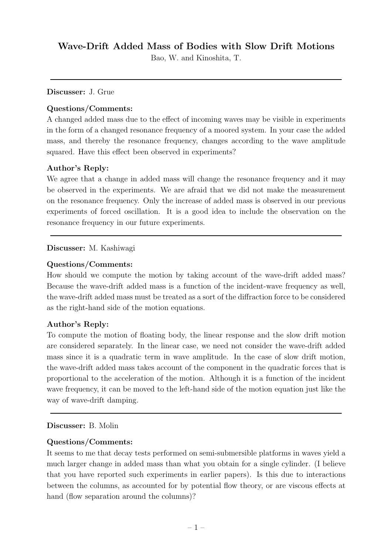## **Wave-Drift Added Mass of Bodies with Slow Drift Motions**

Bao, W. and Kinoshita, T.

**Discusser:** J. Grue

### **Questions/Comments:**

A changed added mass due to the effect of incoming waves may be visible in experiments in the form of a changed resonance frequency of a moored system. In your case the added mass, and thereby the resonance frequency, changes according to the wave amplitude squared. Have this effect been observed in experiments?

### **Author's Reply:**

We agree that a change in added mass will change the resonance frequency and it may be observed in the experiments. We are afraid that we did not make the measurement on the resonance frequency. Only the increase of added mass is observed in our previous experiments of forced oscillation. It is a good idea to include the observation on the resonance frequency in our future experiments.

### **Discusser:** M. Kashiwagi

### **Questions/Comments:**

How should we compute the motion by taking account of the wave-drift added mass? Because the wave-drift added mass is a function of the incident-wave frequency as well, the wave-drift added mass must be treated as a sort of the diffraction force to be considered as the right-hand side of the motion equations.

#### **Author's Reply:**

To compute the motion of floating body, the linear response and the slow drift motion are considered separately. In the linear case, we need not consider the wave-drift added mass since it is a quadratic term in wave amplitude. In the case of slow drift motion, the wave-drift added mass takes account of the component in the quadratic forces that is proportional to the acceleration of the motion. Although it is a function of the incident wave frequency, it can be moved to the left-hand side of the motion equation just like the way of wave-drift damping.

#### **Discusser:** B. Molin

#### **Questions/Comments:**

It seems to me that decay tests performed on semi-submersible platforms in waves yield a much larger change in added mass than what you obtain for a single cylinder. (I believe that you have reported such experiments in earlier papers). Is this due to interactions between the columns, as accounted for by potential flow theory, or are viscous effects at hand (flow separation around the columns)?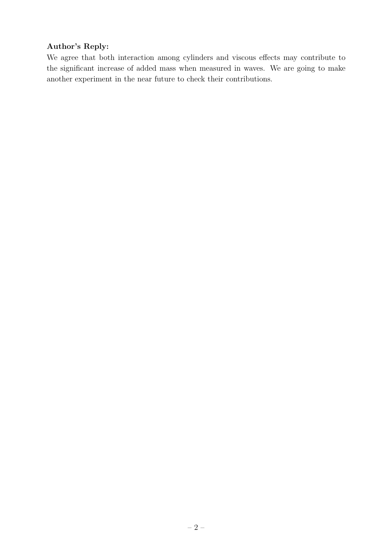### **Author's Reply:**

We agree that both interaction among cylinders and viscous effects may contribute to the significant increase of added mass when measured in waves. We are going to make another experiment in the near future to check their contributions.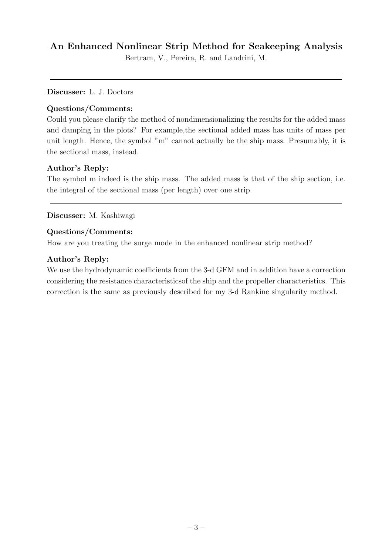## **An Enhanced Nonlinear Strip Method for Seakeeping Analysis**

Bertram, V., Pereira, R. and Landrini, M.

#### **Discusser:** L. J. Doctors

#### **Questions/Comments:**

Could you please clarify the method of nondimensionalizing the results for the added mass and damping in the plots? For example,the sectional added mass has units of mass per unit length. Hence, the symbol "m" cannot actually be the ship mass. Presumably, it is the sectional mass, instead.

#### **Author's Reply:**

The symbol m indeed is the ship mass. The added mass is that of the ship section, i.e. the integral of the sectional mass (per length) over one strip.

#### **Discusser:** M. Kashiwagi

#### **Questions/Comments:**

How are you treating the surge mode in the enhanced nonlinear strip method?

#### **Author's Reply:**

We use the hydrodynamic coefficients from the 3-d GFM and in addition have a correction considering the resistance characteristicsof the shipand the propeller characteristics. This correction is the same as previously described for my 3-d Rankine singularity method.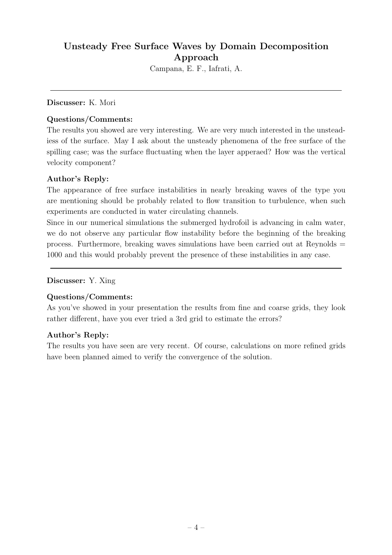## Unsteady Free Surface Waves by Domain Decomposition **Approach**

Campana, E. F., Iafrati, A.

#### **Discusser:** K. Mori

#### **Questions/Comments:**

The results you showed are very interesting. We are very much interested in the unsteadiess of the surface. May I ask about the unsteady phenomena of the free surface of the spilling case; was the surface fluctuating when the layer apperaed? How was the vertical velocity component?

### **Author's Reply:**

The appearance of free surface instabilities in nearly breaking waves of the type you are mentioning should be probably related to flow transition to turbulence, when such experiments are conducted in water circulating channels.

Since in our numerical simulations the submerged hydrofoil is advancing in calm water, we do not observe any particular flow instability before the beginning of the breaking process. Furthermore, breaking waves simulations have been carried out at Reynolds = 1000 and this would probably prevent the presence of these instabilities in any case.

**Discusser:** Y. Xing

### **Questions/Comments:**

As you've showed in your presentation the results from fine and coarse grids, they look rather different, have you ever tried a 3rd grid to estimate the errors?

#### **Author's Reply:**

The results you have seen are very recent. Of course, calculations on more refined grids have been planned aimed to verify the convergence of the solution.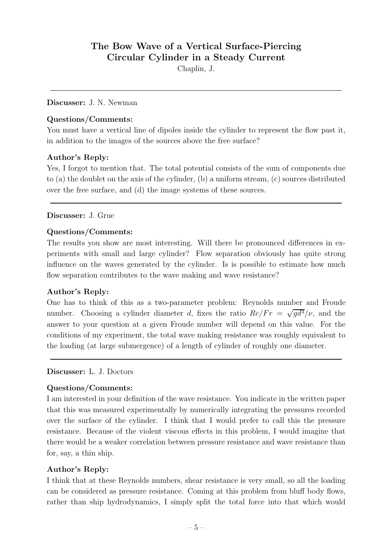## **The Bow Wave of a Vertical Surface-Piercing Circular Cylinder in a Steady Current**

Chaplin, J.

#### **Discusser:** J. N. Newman

#### **Questions/Comments:**

You must have a vertical line of dipoles inside the cylinder to represent the flow past it, in addition to the images of the sources above the free surface?

#### **Author's Reply:**

Yes, I forgot to mention that. The total potential consists of the sum of components due to (a) the doublet on the axis of the cylinder, (b) a uniform stream, (c) sources distributed over the free surface, and (d) the image systems of these sources.

#### **Discusser:** J. Grue

#### **Questions/Comments:**

The results you show are most interesting. Will there be pronounced differences in experiments with small and large cylinder? Flow separation obviously has quite strong influence on the waves generated by the cylinder. Is is possible to estimate how much flow separation contributes to the wave making and wave resistance?

#### **Author's Reply:**

One has to think of this as a two-parameter problem: Reynolds number and Froude number. Choosing a cylinder diameter d, fixes the ratio  $Re/Fr = \sqrt{q d^3}/\nu$ , and the answer to your question at a given Froude number will depend on this value. For the conditions of my experiment, the total wave making resistance was roughly equivalent to the loading (at large submergence) of a length of cylinder of roughly one diameter.

#### **Discusser:** L. J. Doctors

#### **Questions/Comments:**

I am interested in your definition of the wave resistance. You indicate in the written paper that this was measured experimentally by numerically integrating the pressures recorded over the surface of the cylinder. I think that I would prefer to call this the pressure resistance. Because of the violent viscous effects in this problem, I would imagine that there would be a weaker correlation between pressure resistance and wave resistance than for, say, a thin ship.

#### **Author's Reply:**

I think that at these Reynolds numbers, shear resistance is very small, so all the loading can be considered as pressure resistance. Coming at this problem from bluff body flows, rather than ship hydrodynamics, I simply split the total force into that which would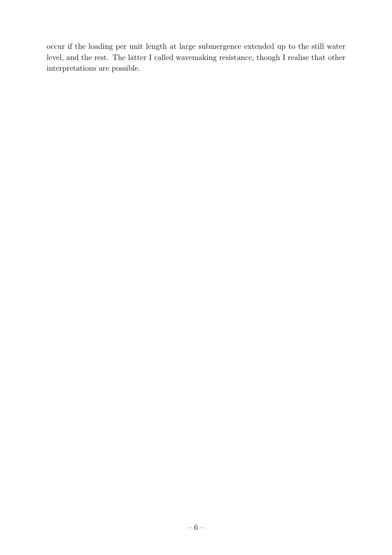occur if the loading per unit length at large submergence extended up to the still water level, and the rest. The latter I called wavemaking resistance, though I realise that other interpretations are possible.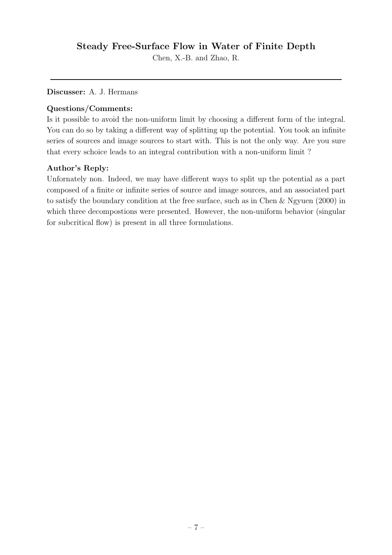## **Steady Free-Surface Flow in Water of Finite Depth**

Chen, X.-B. and Zhao, R.

**Discusser:** A. J. Hermans

#### **Questions/Comments:**

Is it possible to avoid the non-uniform limit by choosing a different form of the integral. You can do so by taking a different way of splitting up the potential. You took an infinite series of sources and image sources to start with. This is not the only way. Are you sure that every schoice leads to an integral contribution with a non-uniform limit ?

### **Author's Reply:**

Unfornately non. Indeed, we may have different ways to split up the potential as a part composed of a finite or infinite series of source and image sources, and an associated part to satisfy the boundary condition at the free surface, such as in Chen & Ngyuen (2000) in which three decompostions were presented. However, the non-uniform behavior (singular for subcritical flow) is present in all three formulations.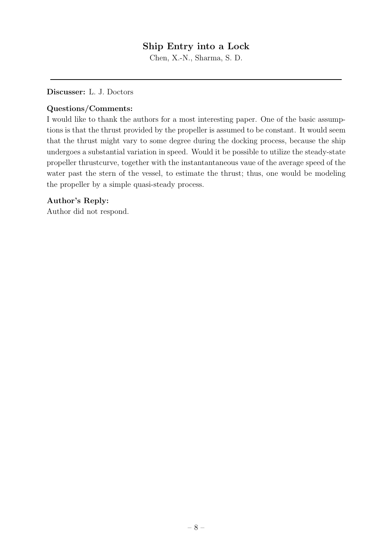## **Ship Entryinto a Lock**

Chen, X.-N., Sharma, S. D.

**Discusser:** L. J. Doctors

#### **Questions/Comments:**

I would like to thank the authors for a most interesting paper. One of the basic assumptions is that the thrust provided by the propeller is assumed to be constant. It would seem that the thrust might vary to some degree during the docking process, because the ship undergoes a substantial variation in speed. Would it be possible to utilize the steady-state propeller thrustcurve, together with the instantantaneous vaue of the average speed of the water past the stern of the vessel, to estimate the thrust; thus, one would be modeling the propeller by a simple quasi-steady process.

#### **Author's Reply:**

Author did not respond.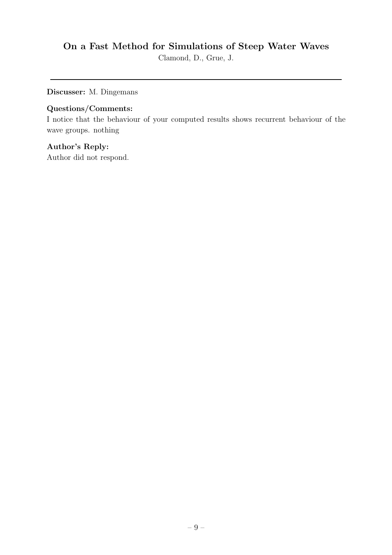## **On a Fast Method for Simulations of Steep Water Waves**

Clamond, D., Grue, J.

**Discusser:** M. Dingemans

### **Questions/Comments:**

I notice that the behaviour of your computed results shows recurrent behaviour of the wave groups. nothing

### **Author's Reply:**

Author did not respond.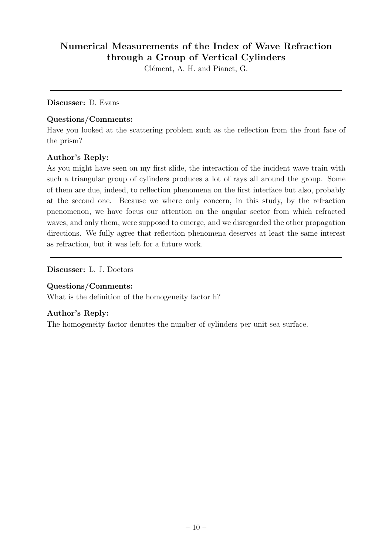## **Numerical Measurements of the Index of Wave Refraction through a Group of Vertical Cylinders**

Clément, A. H. and Pianet, G.

#### **Discusser:** D. Evans

#### **Questions/Comments:**

Have you looked at the scattering problem such as the reflection from the front face of the prism?

### **Author's Reply:**

As you might have seen on my first slide, the interaction of the incident wave train with such a triangular group of cylinders produces a lot of rays all around the group. Some of them are due, indeed, to reflection phenomena on the first interface but also, probably at the second one. Because we where only concern, in this study, by the refraction pnenomenon, we have focus our attention on the angular sector from which refracted waves, and only them, were supposed to emerge, and we disregarded the other propagation directions. We fully agree that reflection phenomena deserves at least the same interest as refraction, but it was left for a future work.

**Discusser:** L. J. Doctors

#### **Questions/Comments:**

What is the definition of the homogeneity factor h?

#### **Author's Reply:**

The homogeneity factor denotes the number of cylinders per unit sea surface.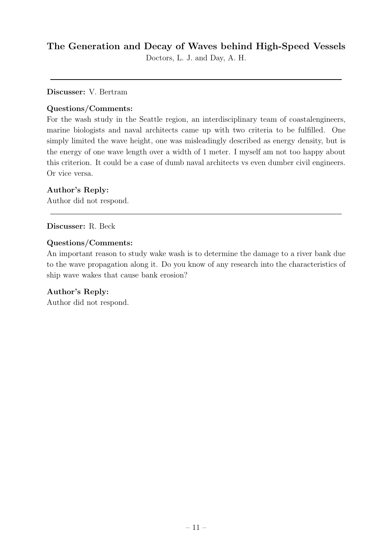## **The Generation and Decayof Waves behind High-Speed Vessels**

Doctors, L. J. and Day, A. H.

**Discusser:** V. Bertram

### **Questions/Comments:**

For the wash study in the Seattle region, an interdisciplinary team of coastalengineers, marine biologists and naval architects came upwith two criteria to be fulfilled. One simply limited the wave height, one was misleadingly described as energy density, but is the energy of one wave length over a width of 1 meter. I myself am not too happy about this criterion. It could be a case of dumb naval architects vs even dumber civil engineers. Or vice versa.

### **Author's Reply:**

Author did not respond.

**Discusser:** R. Beck

#### **Questions/Comments:**

An important reason to study wake wash is to determine the damage to a river bank due to the wave propagation along it. Do you know of any research into the characteristics of ship wave wakes that cause bank erosion?

### **Author's Reply:**

Author did not respond.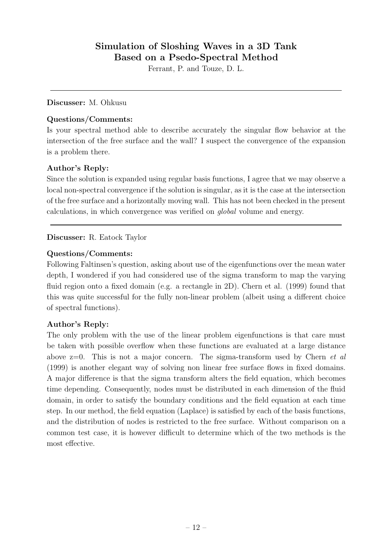## **Simulation of Sloshing Waves in a 3D Tank Based on a Psedo-Spectral Method**

Ferrant, P. and Touze, D. L.

**Discusser:** M. Ohkusu

### **Questions/Comments:**

Is your spectral method able to describe accurately the singular flow behavior at the intersection of the free surface and the wall? I suspect the convergence of the expansion is a problem there.

### **Author's Reply:**

Since the solution is expanded using regular basis functions, I agree that we may observe a local non-spectral convergence if the solution is singular, as it is the case at the intersection of the free surface and a horizontally moving wall. This has not been checked in the present calculations, in which convergence was verified on *global* volume and energy.

### **Discusser:** R. Eatock Taylor

### **Questions/Comments:**

Following Faltinsen's question, asking about use of the eigenfunctions over the mean water depth, I wondered if you had considered use of the sigma transform to map the varying fluid region onto a fixed domain (e.g. a rectangle in 2D). Chern et al. (1999) found that this was quite successful for the fully non-linear problem (albeit using a different choice of spectral functions).

### **Author's Reply:**

The only problem with the use of the linear problem eigenfunctions is that care must be taken with possible overflow when these functions are evaluated at a large distance above z=0. This is not a major concern. The sigma-transform used by Chern *et al* (1999) is another elegant way of solving non linear free surface flows in fixed domains. A major difference is that the sigma transform alters the field equation, which becomes time depending. Consequently, nodes must be distributed in each dimension of the fluid domain, in order to satisfy the boundary conditions and the field equation at each time step. In our method, the field equation (Laplace) is satisfied by each of the basis functions, and the distribution of nodes is restricted to the free surface. Without comparison on a common test case, it is however difficult to determine which of the two methods is the most effective.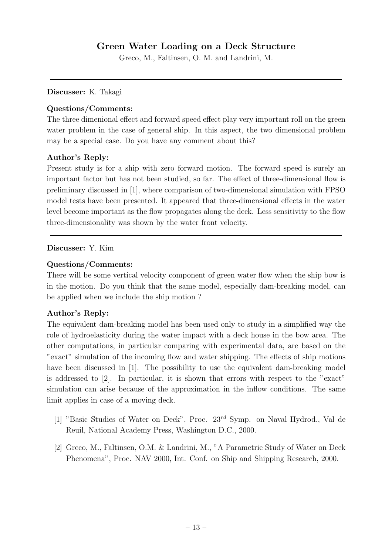## **Green Water Loading on a Deck Structure**

Greco, M., Faltinsen, O. M. and Landrini, M.

**Discusser:** K. Takagi

#### **Questions/Comments:**

The three dimenional effect and forward speed effect play very important roll on the green water problem in the case of general ship. In this aspect, the two dimensional problem may be a special case. Do you have any comment about this?

#### **Author's Reply:**

Present study is for a ship with zero forward motion. The forward speed is surely an important factor but has not been studied, so far. The effect of three-dimensional flow is preliminary discussed in [1], where comparison of two-dimensional simulation with FPSO model tests have been presented. It appeared that three-dimensional effects in the water level become important as the flow propagates along the deck. Less sensitivity to the flow three-dimensionality was shown by the water front velocity.

#### **Discusser:** Y. Kim

#### **Questions/Comments:**

There will be some vertical velocity component of green water flow when the ship bow is in the motion. Do you think that the same model, especially dam-breaking model, can be applied when we include the ship motion ?

#### **Author's Reply:**

The equivalent dam-breaking model has been used only to study in a simplified way the role of hydroelasticity during the water impact with a deck house in the bow area. The other computations, in particular comparing with experimental data, are based on the "exact" simulation of the incoming flow and water shipping. The effects of ship motions have been discussed in [1]. The possibility to use the equivalent dam-breaking model is addressed to [2]. In particular, it is shown that errors with respect to the "exact" simulation can arise because of the approximation in the inflow conditions. The same limit applies in case of a moving deck.

- [1] "Basic Studies of Water on Deck", Proc. 23*rd* Symp. on Naval Hydrod., Val de Reuil, National Academy Press, Washington D.C., 2000.
- [2] Greco, M., Faltinsen, O.M. & Landrini, M., "A Parametric Study of Water on Deck Phenomena", Proc. NAV 2000, Int. Conf. on Ship and Shipping Research, 2000.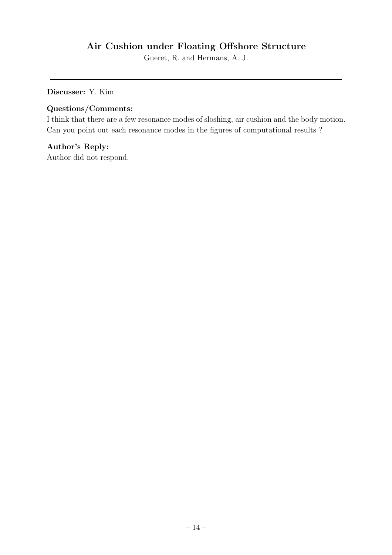## **Air Cushion under Floating Offshore Structure**

Gueret, R. and Hermans, A. J.

**Discusser:** Y. Kim

#### **Questions/Comments:**

I think that there are a few resonance modes of sloshing, air cushion and the body motion. Can you point out each resonance modes in the figures of computational results ?

### **Author's Reply:**

Author did not respond.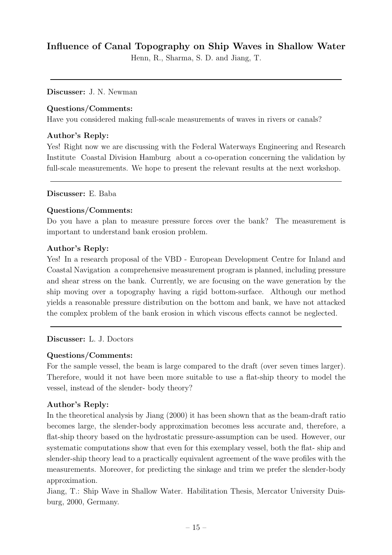## **Influence of Canal Topography on Ship Waves in Shallow Water**

Henn, R., Sharma, S. D. and Jiang, T.

#### **Discusser:** J. N. Newman

#### **Questions/Comments:**

Have you considered making full-scale measurements of waves in rivers or canals?

#### **Author's Reply:**

Yes! Right now we are discussing with the Federal Waterways Engineering and Research Institute Coastal Division Hamburg about a co-operation concerning the validation by full-scale measurements. We hope to present the relevant results at the next workshop.

#### **Discusser:** E. Baba

#### **Questions/Comments:**

Do you have a plan to measure pressure forces over the bank? The measurement is important to understand bank erosion problem.

#### **Author's Reply:**

Yes! In a research proposal of the VBD - European Development Centre for Inland and Coastal Navigation a comprehensive measurement program is planned, including pressure and shear stress on the bank. Currently, we are focusing on the wave generation by the ship moving over a topography having a rigid bottom-surface. Although our method yields a reasonable pressure distribution on the bottom and bank, we have not attacked the complex problem of the bank erosion in which viscous effects cannot be neglected.

#### **Discusser:** L. J. Doctors

#### **Questions/Comments:**

For the sample vessel, the beam is large compared to the draft (over seven times larger). Therefore, would it not have been more suitable to use a flat-shiptheory to model the vessel, instead of the slender- body theory?

#### **Author's Reply:**

In the theoretical analysis by Jiang (2000) it has been shown that as the beam-draft ratio becomes large, the slender-body approximation becomes less accurate and, therefore, a flat-ship theory based on the hydrostatic pressure-assumption can be used. However, our systematic computations show that even for this exemplary vessel, both the flat- ship and slender-ship theory lead to a practically equivalent agreement of the wave profiles with the measurements. Moreover, for predicting the sinkage and trim we prefer the slender-body approximation.

Jiang, T.: ShipWave in Shallow Water. Habilitation Thesis, Mercator University Duisburg, 2000, Germany.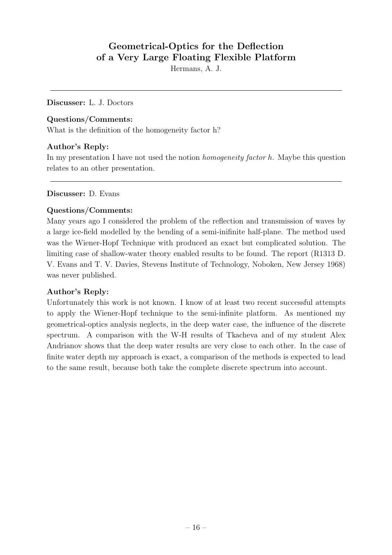## **Geometrical-Optics for the Deflection of a VeryLarge Floating Flexible Platform**

Hermans, A. J.

**Discusser:** L. J. Doctors

#### **Questions/Comments:**

What is the definition of the homogeneity factor h?

### **Author's Reply:**

In my presentation I have not used the notion *homogeneity factor* <sup>h</sup>. Maybe this question relates to an other presentation.

#### **Discusser:** D. Evans

### **Questions/Comments:**

Many years ago I considered the problem of the reflection and transmission of waves by a large ice-field modelled by the bending of a semi-inifinite half-plane. The method used was the Wiener-Hopf Technique with produced an exact but complicated solution. The limiting case of shallow-water theory enabled results to be found. The report (R1313 D. V. Evans and T. V. Davies, Stevens Institute of Technology, Noboken, New Jersey 1968) was never published.

#### **Author's Reply:**

Unfortunately this work is not known. I know of at least two recent successful attempts to apply the Wiener-Hopf technique to the semi-infinite platform. As mentioned my geometrical-optics analysis neglects, in the deep water case, the influence of the discrete spectrum. A comparison with the W-H results of Tkacheva and of my student Alex Andrianov shows that the deepwater results are very close to each other. In the case of finite water depth my approach is exact, a comparison of the methods is expected to lead to the same result, because both take the complete discrete spectrum into account.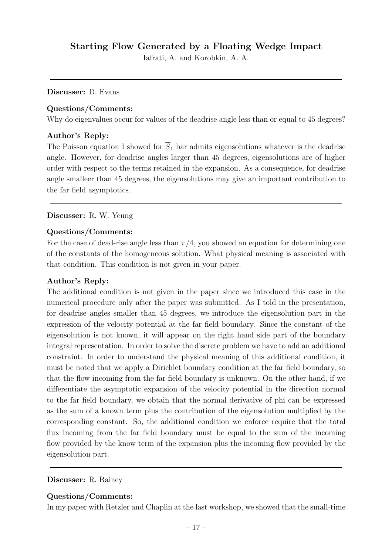### **Starting Flow Generated bya Floating Wedge Impact**

Iafrati, A. and Korobkin, A. A.

#### **Discusser:** D. Evans

#### **Questions/Comments:**

Why do eigenvalues occur for values of the deadrise angle less than or equal to 45 degrees?

#### **Author's Reply:**

The Poisson equation I showed for  $\overline{S_1}$  bar admits eigensolutions whatever is the deadrise angle. However, for deadrise angles larger than 45 degrees, eigensolutions are of higher order with respect to the terms retained in the expansion. As a consequence, for deadrise angle smalleer than 45 degrees, the eigensolutions may give an important contribution to the far field asymptotics.

#### **Discusser:** R. W. Yeung

#### **Questions/Comments:**

For the case of dead-rise angle less than  $\pi/4$ , you showed an equation for determining one of the constants of the homogeneous solution. What physical meaning is associated with that condition. This condition is not given in your paper.

#### **Author's Reply:**

The additional condition is not given in the paper since we introduced this case in the numerical procedure only after the paper was submitted. As I told in the presentation, for deadrise angles smaller than 45 degrees, we introduce the eigensolution part in the expression of the velocity potential at the far field boundary. Since the constant of the eigensolution is not known, it will appear on the right hand side part of the boundary integral representation. In order to solve the discrete problem we have to add an additional constraint. In order to understand the physical meaning of this additional condition, it must be noted that we apply a Dirichlet boundary condition at the far field boundary, so that the flow incoming from the far field boundary is unknown. On the other hand, if we differentiate the asymptotic expansion of the velocity potential in the direction normal to the far field boundary, we obtain that the normal derivative of phi can be expressed as the sum of a known term plus the contribution of the eigensolution multiplied by the corresponding constant. So, the additional condition we enforce require that the total flux incoming from the far field boundary must be equal to the sum of the incoming flow provided by the know term of the expansion plus the incoming flow provided by the eigensolution part.

#### **Discusser:** R. Rainey

#### **Questions/Comments:**

In my paper with Retzler and Chaplin at the last workshop, we showed that the small-time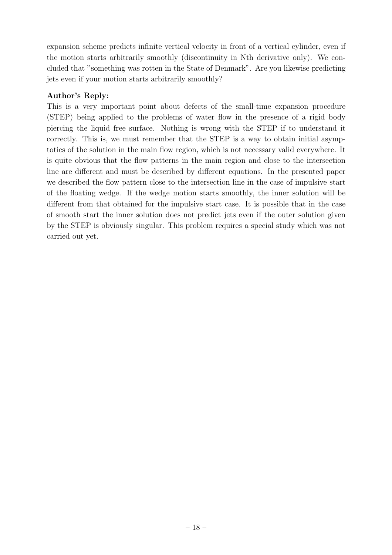expansion scheme predicts infinite vertical velocity in front of a vertical cylinder, even if the motion starts arbitrarily smoothly (discontinuity in Nth derivative only). We concluded that "something was rotten in the State of Denmark". Are you likewise predicting jets even if your motion starts arbitrarily smoothly?

### **Author's Reply:**

This is a very important point about defects of the small-time expansion procedure (STEP) being applied to the problems of water flow in the presence of a rigid body piercing the liquid free surface. Nothing is wrong with the STEP if to understand it correctly. This is, we must remember that the STEP is a way to obtain initial asymptotics of the solution in the main flow region, which is not necessary valid everywhere. It is quite obvious that the flow patterns in the main region and close to the intersection line are different and must be described by different equations. In the presented paper we described the flow pattern close to the intersection line in the case of impulsive start of the floating wedge. If the wedge motion starts smoothly, the inner solution will be different from that obtained for the impulsive start case. It is possible that in the case of smooth start the inner solution does not predict jets even if the outer solution given by the STEP is obviously singular. This problem requires a special study which was not carried out yet.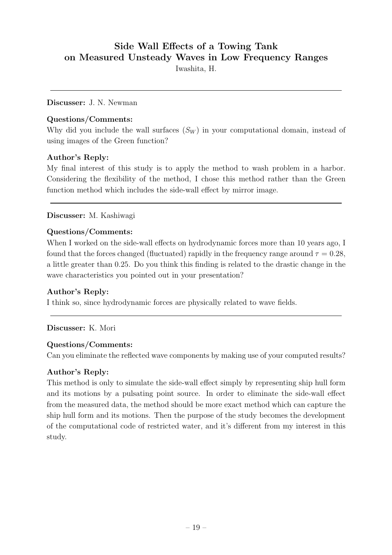## **Side Wall Effects of a Towing Tank on Measured UnsteadyWaves in Low FrequencyRanges**

Iwashita, H.

#### **Discusser:** J. N. Newman

#### **Questions/Comments:**

Why did you include the wall surfaces  $(S_W)$  in your computational domain, instead of using images of the Green function?

### **Author's Reply:**

My final interest of this study is to apply the method to wash problem in a harbor. Considering the flexibility of the method, I chose this method rather than the Green function method which includes the side-wall effect by mirror image.

### **Discusser:** M. Kashiwagi

#### **Questions/Comments:**

When I worked on the side-wall effects on hydrodynamic forces more than 10 years ago, I found that the forces changed (fluctuated) rapidly in the frequency range around  $\tau = 0.28$ , a little greater than 0.25. Do you think this finding is related to the drastic change in the wave characteristics you pointed out in your presentation?

### **Author's Reply:**

I think so, since hydrodynamic forces are physically related to wave fields.

### **Discusser:** K. Mori

#### **Questions/Comments:**

Can you eliminate the reflected wave components by making use of your computed results?

#### **Author's Reply:**

This method is only to simulate the side-wall effect simply by representing ship hull form and its motions by a pulsating point source. In order to eliminate the side-wall effect from the measured data, the method should be more exact method which can capture the ship hull form and its motions. Then the purpose of the study becomes the development of the computational code of restricted water, and it's different from my interest in this study.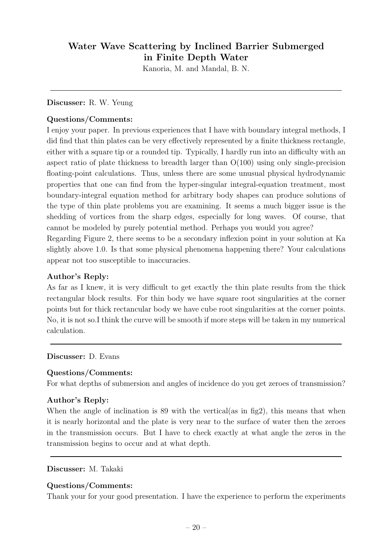## **Water Wave Scattering byInclined Barrier Submerged in Finite Depth Water**

Kanoria, M. and Mandal, B. N.

#### **Discusser:** R. W. Yeung

#### **Questions/Comments:**

I enjoy your paper. In previous experiences that I have with boundary integral methods, I did find that thin plates can be very effectively represented by a finite thickness rectangle, either with a square tip or a rounded tip. Typically, I hardly run into an difficulty with an aspect ratio of plate thickness to breadth larger than O(100) using only single-precision floating-point calculations. Thus, unless there are some unusual physical hydrodynamic properties that one can find from the hyper-singular integral-equation treatment, most boundary-integral equation method for arbitrary body shapes can produce solutions of the type of thin plate problems you are examining. It seems a much bigger issue is the shedding of vortices from the sharp edges, especially for long waves. Of course, that cannot be modeled by purely potential method. Perhaps you would you agree?

Regarding Figure 2, there seems to be a secondary inflexion point in your solution at Ka slightly above 1.0. Is that some physical phenomena happening there? Your calculations appear not too susceptible to inaccuracies.

#### **Author's Reply:**

As far as I knew, it is very difficult to get exactly the thin plate results from the thick rectangular block results. For thin body we have square root singularities at the corner points but for thick rectancular body we have cube root singularities at the corner points. No, it is not so.I think the curve will be smooth if more steps will be taken in my numerical calculation.

#### **Discusser:** D. Evans

#### **Questions/Comments:**

For what depths of submersion and angles of incidence do you get zeroes of transmission?

#### **Author's Reply:**

When the angle of inclination is 89 with the vertical (as in fig2), this means that when it is nearly horizontal and the plate is very near to the surface of water then the zeroes in the transmission occurs. But I have to check exactly at what angle the zeros in the transmission begins to occur and at what depth.

#### **Discusser:** M. Takaki

#### **Questions/Comments:**

Thank your for your good presentation. I have the experience to perform the experiments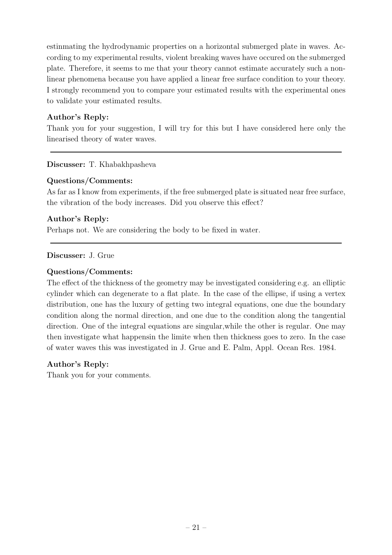estinmating the hydrodynamic properties on a horizontal submerged plate in waves. According to my experimental results, violent breaking waves have occured on the submerged plate. Therefore, it seems to me that your theory cannot estimate accurately such a nonlinear phenomena because you have applied a linear free surface condition to your theory. I strongly recommend you to compare your estimated results with the experimental ones to validate your estimated results.

### **Author's Reply:**

Thank you for your suggestion, I will try for this but I have considered here only the linearised theory of water waves.

**Discusser:** T. Khabakhpasheva

### **Questions/Comments:**

As far as I know from experiments, if the free submerged plate is situated near free surface, the vibration of the body increases. Did you observe this effect?

### **Author's Reply:**

Perhaps not. We are considering the body to be fixed in water.

#### **Discusser:** J. Grue

### **Questions/Comments:**

The effect of the thickness of the geometry may be investigated considering e.g. an elliptic cylinder which can degenerate to a flat plate. In the case of the ellipse, if using a vertex distribution, one has the luxury of getting two integral equations, one due the boundary condition along the normal direction, and one due to the condition along the tangential direction. One of the integral equations are singular,while the other is regular. One may then investigate what happensin the limite when then thickness goes to zero. In the case of water waves this was investigated in J. Grue and E. Palm, Appl. Ocean Res. 1984.

#### **Author's Reply:**

Thank you for your comments.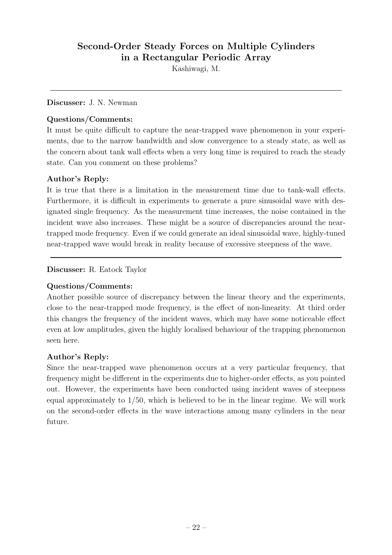## **Second-Order Steady Forces on Multiple Cylinders in a Rectangular Periodic Array**

Kashiwagi, M.

#### **Discusser:** J. N. Newman

#### **Questions/Comments:**

It must be quite difficult to capture the near-trapped wave phenomenon in your experiments, due to the narrow bandwidth and slow convergence to a steady state, as well as the concern about tank wall effects when a very long time is required to reach the steady state. Can you comment on these problems?

### **Author's Reply:**

It is true that there is a limitation in the measurement time due to tank-wall effects. Furthermore, it is difficult in experiments to generate a pure sinusoidal wave with designated single frequency. As the measurement time increases, the noise contained in the incident wave also increases. These might be a source of discrepancies around the neartrapped mode frequency. Even if we could generate an ideal sinusoidal wave, highly-tuned near-trapped wave would break in reality because of excessive steepness of the wave.

### **Discusser:** R. Eatock Taylor

### **Questions/Comments:**

Another possible source of discrepancy between the linear theory and the experiments, close to the near-trapped mode frequency, is the effect of non-linearity. At third order this changes the frequency of the incident waves, which may have some noticeable effect even at low amplitudes, given the highly localised behaviour of the trapping phenomenon seen here.

#### **Author's Reply:**

Since the near-trapped wave phenomenon occurs at a very particular frequency, that frequency might be different in the experiments due to higher-order effects, as you pointed out. However, the experiments have been conducted using incident waves of steepness equal approximately to  $1/50$ , which is believed to be in the linear regime. We will work on the second-order effects in the wave interactions among many cylinders in the near future.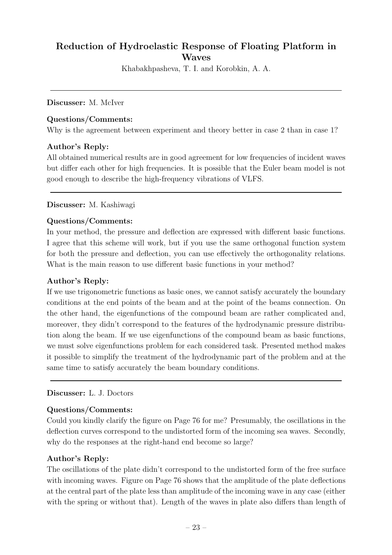## **Reduction of Hydroelastic Response of Floating Platform in Waves**

Khabakhpasheva, T. I. and Korobkin, A. A.

**Discusser:** M. McIver

#### **Questions/Comments:**

Why is the agreement between experiment and theory better in case 2 than in case 1?

### **Author's Reply:**

All obtained numerical results are in good agreement for low frequencies of incident waves but differ each other for high frequencies. It is possible that the Euler beam model is not good enough to describe the high-frequency vibrations of VLFS.

#### **Discusser:** M. Kashiwagi

#### **Questions/Comments:**

In your method, the pressure and deflection are expressed with different basic functions. I agree that this scheme will work, but if you use the same orthogonal function system for both the pressure and deflection, you can use effectively the orthogonality relations. What is the main reason to use different basic functions in your method?

#### **Author's Reply:**

If we use trigonometric functions as basic ones, we cannot satisfy accurately the boundary conditions at the end points of the beam and at the point of the beams connection. On the other hand, the eigenfunctions of the compound beam are rather complicated and, moreover, they didn't correspond to the features of the hydrodynamic pressure distribution along the beam. If we use eigenfunctions of the compound beam as basic functions, we must solve eigenfunctions problem for each considered task. Presented method makes it possible to simplify the treatment of the hydrodynamic part of the problem and at the same time to satisfy accurately the beam boundary conditions.

#### **Discusser:** L. J. Doctors

#### **Questions/Comments:**

Could you kindly clarify the figure on Page 76 for me? Presumably, the oscillations in the deflection curves correspond to the undistorted form of the incoming sea waves. Secondly, why do the responses at the right-hand end become so large?

#### **Author's Reply:**

The oscillations of the plate didn't correspond to the undistorted form of the free surface with incoming waves. Figure on Page 76 shows that the amplitude of the plate deflections at the central part of the plate less than amplitude of the incoming wave in any case (either with the spring or without that). Length of the waves in plate also differs than length of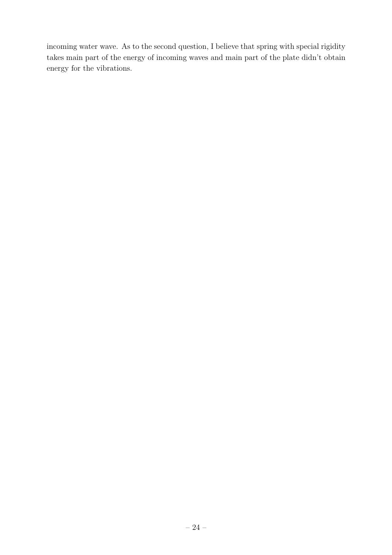incoming water wave. As to the second question, I believe that spring with special rigidity takes main part of the energy of incoming waves and main part of the plate didn't obtain energy for the vibrations.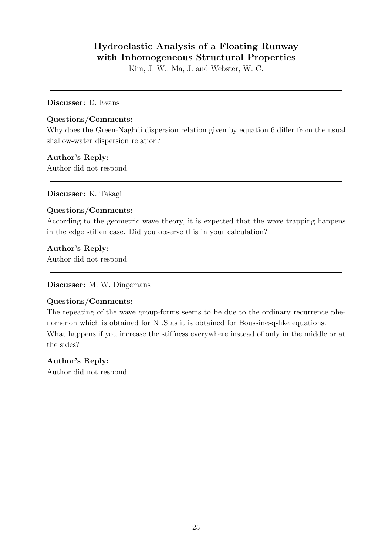## **Hydroelastic Analysis of a Floating Runway with Inhomogeneous Structural Properties**

Kim, J. W., Ma, J. and Webster, W. C.

#### **Discusser:** D. Evans

#### **Questions/Comments:**

Why does the Green-Naghdi dispersion relation given by equation 6 differ from the usual shallow-water dispersion relation?

### **Author's Reply:**

Author did not respond.

**Discusser:** K. Takagi

### **Questions/Comments:**

According to the geometric wave theory, it is expected that the wave trapping happens in the edge stiffen case. Did you observe this in your calculation?

### **Author's Reply:**

Author did not respond.

#### **Discusser:** M. W. Dingemans

### **Questions/Comments:**

The repeating of the wave group-forms seems to be due to the ordinary recurrence phenomenon which is obtained for NLS as it is obtained for Boussinesq-like equations. What happens if you increase the stiffness everywhere instead of only in the middle or at the sides?

#### **Author's Reply:**

Author did not respond.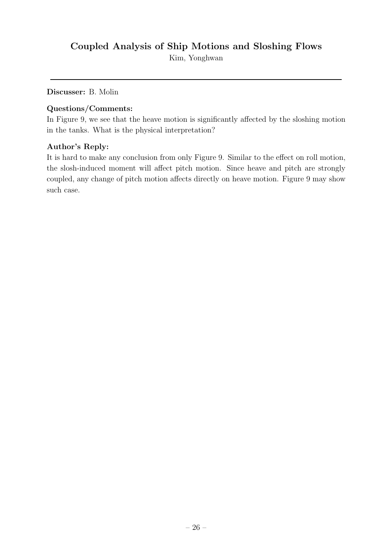## **Coupled Analysis of Ship Motions and Sloshing Flows**

Kim, Yonghwan

**Discusser:** B. Molin

#### **Questions/Comments:**

In Figure 9, we see that the heave motion is significantly affected by the sloshing motion in the tanks. What is the physical interpretation?

### **Author's Reply:**

It is hard to make any conclusion from only Figure 9. Similar to the effect on roll motion, the slosh-induced moment will affect pitch motion. Since heave and pitch are strongly coupled, any change of pitch motion affects directly on heave motion. Figure 9 may show such case.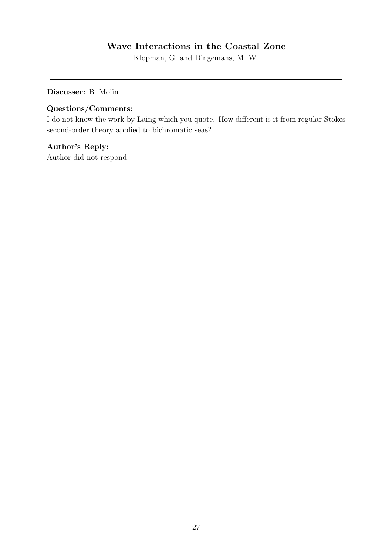## **Wave Interactions in the Coastal Zone**

Klopman, G. and Dingemans, M. W.

**Discusser:** B. Molin

### **Questions/Comments:**

I do not know the work by Laing which you quote. How different is it from regular Stokes second-order theory applied to bichromatic seas?

### **Author's Reply:**

Author did not respond.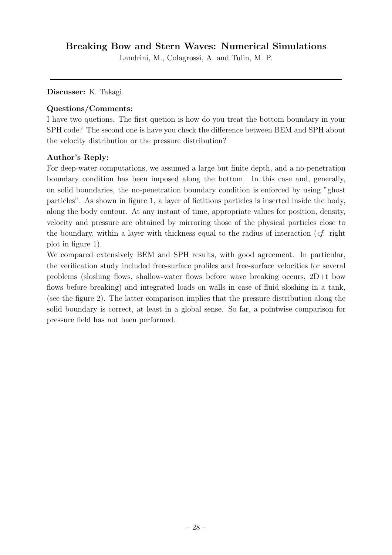## **Breaking Bow and Stern Waves: Numerical Simulations**

Landrini, M., Colagrossi, A. and Tulin, M. P.

#### **Discusser:** K. Takagi

#### **Questions/Comments:**

I have two quetions. The first quetion is how do you treat the bottom boundary in your SPH code? The second one is have you check the difference between BEM and SPH about the velocity distribution or the pressure distribution?

#### **Author's Reply:**

For deep-water computations, we assumed a large but finite depth, and a no-penetration boundary condition has been imposed along the bottom. In this case and, generally, on solid boundaries, the no-penetration boundary condition is enforced by using "ghost particles". As shown in figure 1, a layer of fictitious particles is inserted inside the body, along the body contour. At any instant of time, appropriate values for position, density, velocity and pressure are obtained by mirroring those of the physical particles close to the boundary, within a layer with thickness equal to the radius of interaction (*cf.* right plot in figure 1).

We compared extensively BEM and SPH results, with good agreement. In particular, the verification study included free-surface profiles and free-surface velocities for several problems (sloshing flows, shallow-water flows before wave breaking occurs, 2D+t bow flows before breaking) and integrated loads on walls in case of fluid sloshing in a tank, (see the figure 2). The latter comparison implies that the pressure distribution along the solid boundary is correct, at least in a global sense. So far, a pointwise comparison for pressure field has not been performed.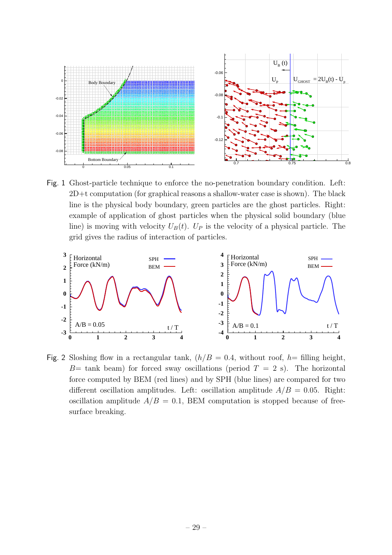

Fig. 1 Ghost-particle technique to enforce the no-penetration boundary condition. Left: 2D+t computation (for graphical reasons a shallow-water case is shown). The black line is the physical body boundary, green particles are the ghost particles. Right: example of application of ghost particles when the physical solid boundary (blue line) is moving with velocity  $U_B(t)$ .  $U_P$  is the velocity of a physical particle. The grid gives the radius of interaction of particles.



Fig. 2 Sloshing flow in a rectangular tank,  $(h/B = 0.4$ , without roof, h= filling height,  $B=$  tank beam) for forced sway oscillations (period  $T = 2$  s). The horizontal force computed by BEM (red lines) and by SPH (blue lines) are compared for two different oscillation amplitudes. Left: oscillation amplitude  $A/B = 0.05$ . Right: oscillation amplitude  $A/B = 0.1$ , BEM computation is stopped because of freesurface breaking.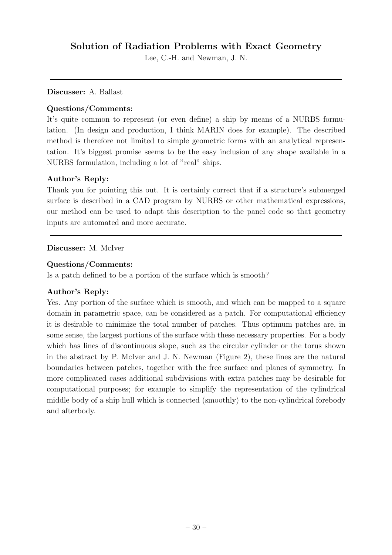## **Solution of Radiation Problems with Exact Geometry**

Lee, C.-H. and Newman, J. N.

#### **Discusser:** A. Ballast

### **Questions/Comments:**

It's quite common to represent (or even define) a ship by means of a NURBS formulation. (In design and production, I think MARIN does for example). The described method is therefore not limited to simple geometric forms with an analytical representation. It's biggest promise seems to be the easy inclusion of any shape available in a NURBS formulation, including a lot of "real" ships.

### **Author's Reply:**

Thank you for pointing this out. It is certainly correct that if a structure's submerged surface is described in a CAD program by NURBS or other mathematical expressions, our method can be used to adapt this description to the panel code so that geometry inputs are automated and more accurate.

### **Discusser:** M. McIver

### **Questions/Comments:**

Is a patch defined to be a portion of the surface which is smooth?

### **Author's Reply:**

Yes. Any portion of the surface which is smooth, and which can be mapped to a square domain in parametric space, can be considered as a patch. For computational efficiency it is desirable to minimize the total number of patches. Thus optimum patches are, in some sense, the largest portions of the surface with these necessary properties. For a body which has lines of discontinuous slope, such as the circular cylinder or the torus shown in the abstract by P. McIver and J. N. Newman (Figure 2), these lines are the natural boundaries between patches, together with the free surface and planes of symmetry. In more complicated cases additional subdivisions with extra patches may be desirable for computational purposes; for example to simplify the representation of the cylindrical middle body of a ship hull which is connected (smoothly) to the non-cylindrical forebody and afterbody.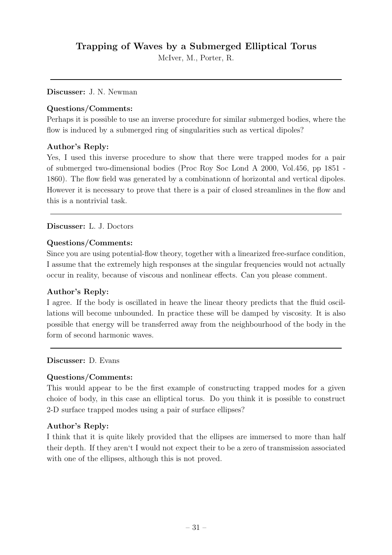## **Trapping of Waves bya Submerged Elliptical Torus**

McIver, M., Porter, R.

#### **Discusser:** J. N. Newman

#### **Questions/Comments:**

Perhaps it is possible to use an inverse procedure for similar submerged bodies, where the flow is induced by a submerged ring of singularities such as vertical dipoles?

#### **Author's Reply:**

Yes, I used this inverse procedure to show that there were trapped modes for a pair of submerged two-dimensional bodies (Proc Roy Soc Lond A 2000, Vol.456, pp 1851 - 1860). The flow field was generated by a combinationn of horizontal and vertical dipoles. However it is necessary to prove that there is a pair of closed streamlines in the flow and this is a nontrivial task.

#### **Discusser:** L. J. Doctors

#### **Questions/Comments:**

Since you are using potential-flow theory, together with a linearized free-surface condition, I assume that the extremely high responses at the singular frequencies would not actually occur in reality, because of viscous and nonlinear effects. Can you please comment.

#### **Author's Reply:**

I agree. If the body is oscillated in heave the linear theory predicts that the fluid oscillations will become unbounded. In practice these will be damped by viscosity. It is also possible that energy will be transferred away from the neighbourhood of the body in the form of second harmonic waves.

**Discusser:** D. Evans

#### **Questions/Comments:**

This would appear to be the first example of constructing trapped modes for a given choice of body, in this case an elliptical torus. Do you think it is possible to construct 2-D surface trapped modes using a pair of surface ellipses?

#### **Author's Reply:**

I think that it is quite likely provided that the ellipses are immersed to more than half their depth. If they aren't I would not expect their to be a zero of transmission associated with one of the ellipses, although this is not proved.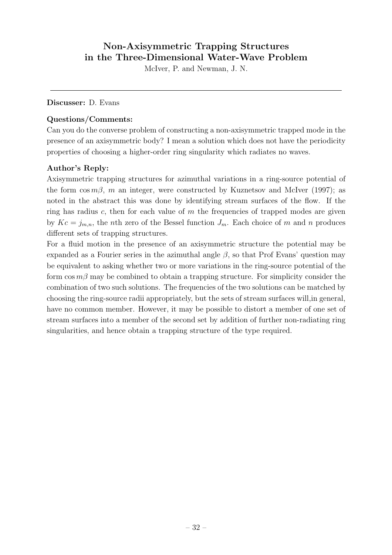## **Non-Axisymmetric Trapping Structures in the Three-Dimensional Water-Wave Problem**

McIver, P. and Newman, J. N.

#### **Discusser:** D. Evans

#### **Questions/Comments:**

Can you do the converse problem of constructing a non-axisymmetric trapped mode in the presence of an axisymmetric body? I mean a solution which does not have the periodicity properties of choosing a higher-order ring singularity which radiates no waves.

### **Author's Reply:**

Axisymmetric trapping structures for azimuthal variations in a ring-source potential of the form  $\cos m\beta$ , m an integer, were constructed by Kuznetsov and McIver (1997); as noted in the abstract this was done by identifying stream surfaces of the flow. If the ring has radius  $c$ , then for each value of  $m$  the frequencies of trapped modes are given by  $Kc = j_{m,n}$ , the *n*th zero of the Bessel function  $J_m$ . Each choice of m and n produces different sets of trapping structures.

For a fluid motion in the presence of an axisymmetric structure the potential may be expanded as a Fourier series in the azimuthal angle  $\beta$ , so that Prof Evans' question may be equivalent to asking whether two or more variations in the ring-source potential of the form  $\cos m\beta$  may be combined to obtain a trapping structure. For simplicity consider the combination of two such solutions. The frequencies of the two solutions can be matched by choosing the ring-source radii appropriately, but the sets of stream surfaces will,in general, have no common member. However, it may be possible to distort a member of one set of stream surfaces into a member of the second set by addition of further non-radiating ring singularities, and hence obtain a trapping structure of the type required.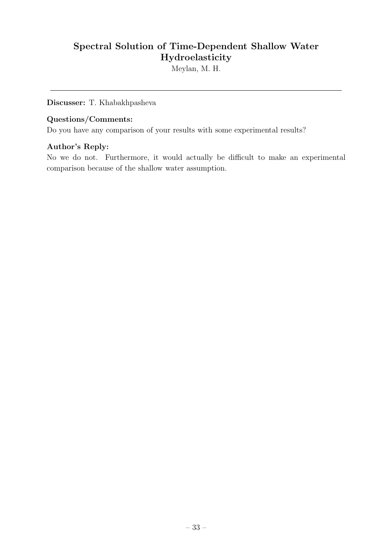## **Spectral Solution of Time-Dependent Shallow Water Hydroelasticity**

Meylan, M. H.

**Discusser:** T. Khabakhpasheva

#### **Questions/Comments:**

Do you have any comparison of your results with some experimental results?

### **Author's Reply:**

No we do not. Furthermore, it would actually be difficult to make an experimental comparison because of the shallow water assumption.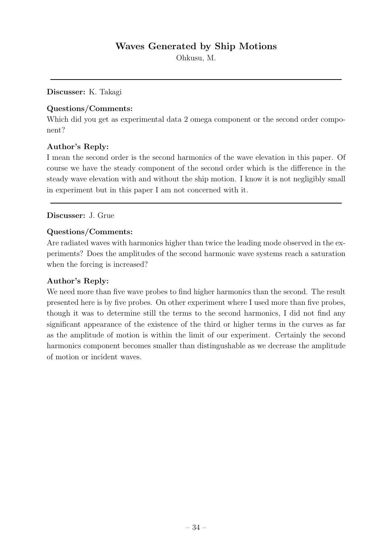Ohkusu, M.

**Discusser:** K. Takagi

### **Questions/Comments:**

Which did you get as experimental data 2 omega component or the second order component?

### **Author's Reply:**

I mean the second order is the second harmonics of the wave elevation in this paper. Of course we have the steady component of the second order which is the difference in the steady wave elevation with and without the ship motion. I know it is not negligibly small in experiment but in this paper I am not concerned with it.

### **Discusser:** J. Grue

#### **Questions/Comments:**

Are radiated waves with harmonics higher than twice the leading mode observed in the experiments? Does the amplitudes of the second harmonic wave systems reach a saturation when the forcing is increased?

### **Author's Reply:**

We need more than five wave probes to find higher harmonics than the second. The result presented here is by five probes. On other experiment where I used more than five probes, though it was to determine still the terms to the second harmonics, I did not find any significant appearance of the existence of the third or higher terms in the curves as far as the amplitude of motion is within the limit of our experiment. Certainly the second harmonics component becomes smaller than distingushable as we decrease the amplitude of motion or incident waves.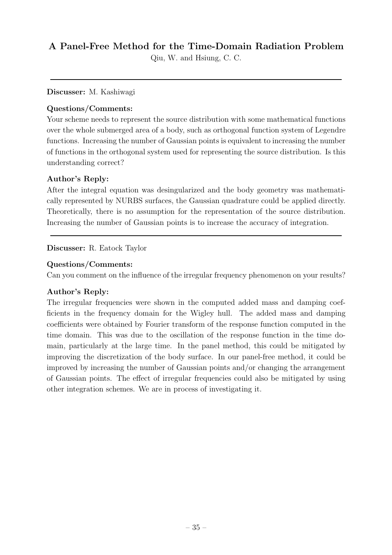## **A Panel-Free Method for the Time-Domain Radiation Problem**

Qiu, W. and Hsiung, C. C.

**Discusser:** M. Kashiwagi

### **Questions/Comments:**

Your scheme needs to represent the source distribution with some mathematical functions over the whole submerged area of a body, such as orthogonal function system of Legendre functions. Increasing the number of Gaussian points is equivalent to increasing the number of functions in the orthogonal system used for representing the source distribution. Is this understanding correct?

### **Author's Reply:**

After the integral equation was desingularized and the body geometry was mathematically represented by NURBS surfaces, the Gaussian quadrature could be applied directly. Theoretically, there is no assumption for the representation of the source distribution. Increasing the number of Gaussian points is to increase the accuracy of integration.

### **Discusser:** R. Eatock Taylor

### **Questions/Comments:**

Can you comment on the influence of the irregular frequency phenomenon on your results?

### **Author's Reply:**

The irregular frequencies were shown in the computed added mass and damping coefficients in the frequency domain for the Wigley hull. The added mass and damping coefficients were obtained by Fourier transform of the response function computed in the time domain. This was due to the oscillation of the response function in the time domain, particularly at the large time. In the panel method, this could be mitigated by improving the discretization of the body surface. In our panel-free method, it could be improved by increasing the number of Gaussian points and/or changing the arrangement of Gaussian points. The effect of irregular frequencies could also be mitigated by using other integration schemes. We are in process of investigating it.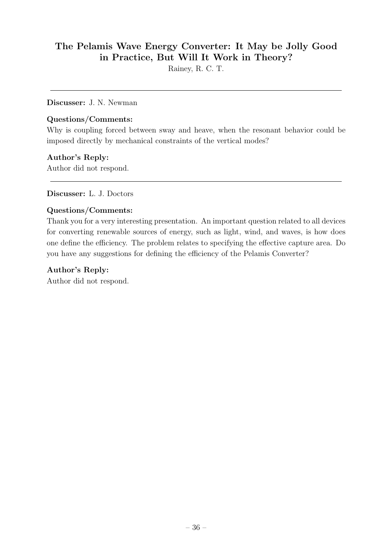## **The Pelamis Wave EnergyConverter: It Maybe JollyGood in Practice, But Will It Work in Theory?**

Rainey, R. C. T.

**Discusser:** J. N. Newman

#### **Questions/Comments:**

Why is coupling forced between sway and heave, when the resonant behavior could be imposed directly by mechanical constraints of the vertical modes?

### **Author's Reply:**

Author did not respond.

**Discusser:** L. J. Doctors

### **Questions/Comments:**

Thank you for a very interesting presentation. An important question related to all devices for converting renewable sources of energy, such as light, wind, and waves, is how does one define the efficiency. The problem relates to specifying the effective capture area. Do you have any suggestions for defining the efficiency of the Pelamis Converter?

#### **Author's Reply:**

Author did not respond.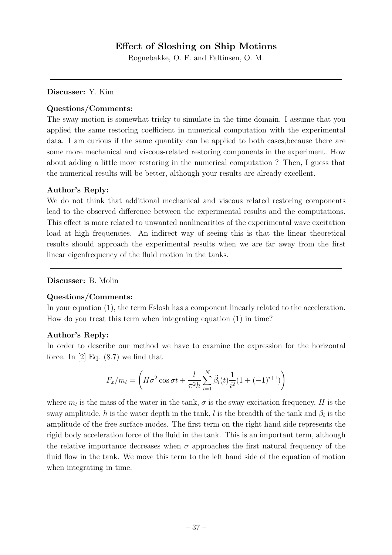### **Effect of Sloshing on Ship Motions**

Rognebakke, O. F. and Faltinsen, O. M.

#### **Discusser:** Y. Kim

#### **Questions/Comments:**

The sway motion is somewhat tricky to simulate in the time domain. I assume that you applied the same restoring coefficient in numerical computation with the experimental data. I am curious if the same quantity can be applied to both cases,because there are some more mechanical and viscous-related restoring components in the experiment. How about adding a little more restoring in the numerical computation ? Then, I guess that the numerical results will be better, although your results are already excellent.

#### **Author's Reply:**

We do not think that additional mechanical and viscous related restoring components lead to the observed difference between the experimental results and the computations. This effect is more related to unwanted nonlinearities of the experimental wave excitation load at high frequencies. An indirect way of seeing this is that the linear theoretical results should approach the experimental results when we are far away from the first linear eigenfrequency of the fluid motion in the tanks.

#### **Discusser:** B. Molin

#### **Questions/Comments:**

In your equation (1), the term Fslosh has a component linearly related to the acceleration. How do you treat this term when integrating equation (1) in time?

#### **Author's Reply:**

In order to describe our method we have to examine the expression for the horizontal force. In  $[2]$  Eq.  $(8.7)$  we find that

$$
F_x/m_l = \left(H\sigma^2 \cos \sigma t + \frac{l}{\pi^2 h} \sum_{i=1}^N \ddot{\beta}_i(t) \frac{1}{i^2} (1 + (-1)^{i+1})\right)
$$

where  $m_l$  is the mass of the water in the tank,  $\sigma$  is the sway excitation frequency, H is the sway amplitude, h is the water depth in the tank, l is the breadth of the tank and  $\beta_i$  is the amplitude of the free surface modes. The first term on the right hand side represents the rigid body acceleration force of the fluid in the tank. This is an important term, although the relative importance decreases when  $\sigma$  approaches the first natural frequency of the fluid flow in the tank. We move this term to the left hand side of the equation of motion when integrating in time.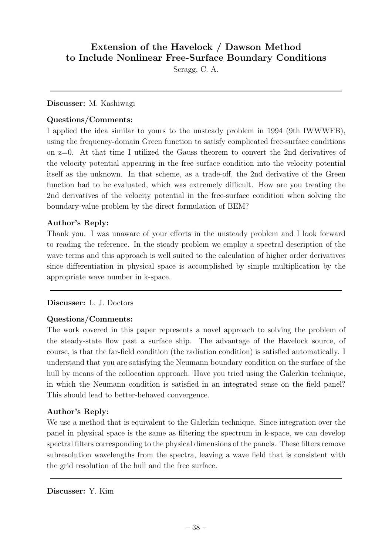## **Extension of the Havelock / Dawson Method to Include Nonlinear Free-Surface BoundaryConditions**

Scragg, C. A.

#### **Discusser:** M. Kashiwagi

### **Questions/Comments:**

I applied the idea similar to yours to the unsteady problem in 1994 (9th IWWWFB), using the frequency-domain Green function to satisfy complicated free-surface conditions on  $z=0$ . At that time I utilized the Gauss theorem to convert the 2nd derivatives of the velocity potential appearing in the free surface condition into the velocity potential itself as the unknown. In that scheme, as a trade-off, the 2nd derivative of the Green function had to be evaluated, which was extremely difficult. How are you treating the 2nd derivatives of the velocity potential in the free-surface condition when solving the boundary-value problem by the direct formulation of BEM?

### **Author's Reply:**

Thank you. I was unaware of your efforts in the unsteady problem and I look forward to reading the reference. In the steady problem we employ a spectral description of the wave terms and this approach is well suited to the calculation of higher order derivatives since differentiation in physical space is accomplished by simple multiplication by the appropriate wave number in k-space.

#### **Discusser:** L. J. Doctors

#### **Questions/Comments:**

The work covered in this paper represents a novel approach to solving the problem of the steady-state flow past a surface ship. The advantage of the Havelock source, of course, is that the far-field condition (the radiation condition) is satisfied automatically. I understand that you are satisfying the Neumann boundary condition on the surface of the hull by means of the collocation approach. Have you tried using the Galerkin technique, in which the Neumann condition is satisfied in an integrated sense on the field panel? This should lead to better-behaved convergence.

#### **Author's Reply:**

We use a method that is equivalent to the Galerkin technique. Since integration over the panel in physical space is the same as filtering the spectrum in k-space, we can develop spectral filters corresponding to the physical dimensions of the panels. These filters remove subresolution wavelengths from the spectra, leaving a wave field that is consistent with the grid resolution of the hull and the free surface.

**Discusser:** Y. Kim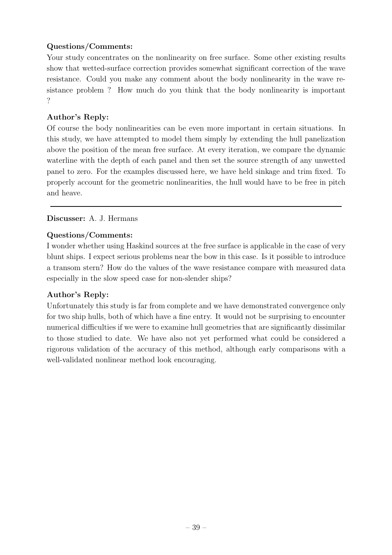### **Questions/Comments:**

Your study concentrates on the nonlinearity on free surface. Some other existing results show that wetted-surface correction provides somewhat significant correction of the wave resistance. Could you make any comment about the body nonlinearity in the wave resistance problem ? How much do you think that the body nonlinearity is important ?

### **Author's Reply:**

Of course the body nonlinearities can be even more important in certain situations. In this study, we have attempted to model them simply by extending the hull panelization above the position of the mean free surface. At every iteration, we compare the dynamic waterline with the depth of each panel and then set the source strength of any unwetted panel to zero. For the examples discussed here, we have held sinkage and trim fixed. To properly account for the geometric nonlinearities, the hull would have to be free in pitch and heave.

### **Discusser:** A. J. Hermans

### **Questions/Comments:**

I wonder whether using Haskind sources at the free surface is applicable in the case of very blunt ships. I expect serious problems near the bow in this case. Is it possible to introduce a transom stern? How do the values of the wave resistance compare with measured data especially in the slow speed case for non-slender ships?

### **Author's Reply:**

Unfortunately this study is far from complete and we have demonstrated convergence only for two ship hulls, both of which have a fine entry. It would not be surprising to encounter numerical difficulties if we were to examine hull geometries that are significantly dissimilar to those studied to date. We have also not yet performed what could be considered a rigorous validation of the accuracy of this method, although early comparisons with a well-validated nonlinear method look encouraging.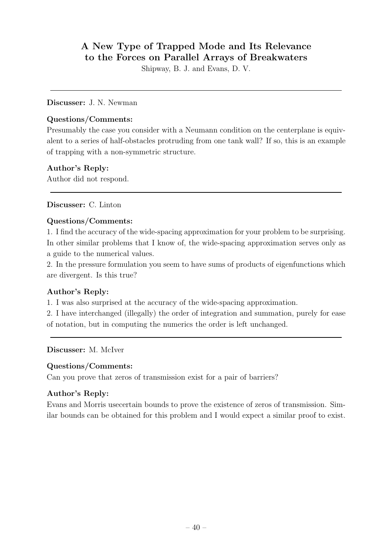## **A New Type of Trapped Mode and Its Relevance to the Forces on Parallel Arrays of Breakwaters**

Shipway, B. J. and Evans, D. V.

#### **Discusser:** J. N. Newman

#### **Questions/Comments:**

Presumably the case you consider with a Neumann condition on the centerplane is equivalent to a series of half-obstacles protruding from one tank wall? If so, this is an example of trapping with a non-symmetric structure.

### **Author's Reply:**

Author did not respond.

**Discusser:** C. Linton

### **Questions/Comments:**

1. I find the accuracy of the wide-spacing approximation for your problem to be surprising. In other similar problems that I know of, the wide-spacing approximation serves only as a guide to the numerical values.

2. In the pressure formulation you seem to have sums of products of eigenfunctions which are divergent. Is this true?

#### **Author's Reply:**

1. I was also surprised at the accuracy of the wide-spacing approximation.

2. I have interchanged (illegally) the order of integration and summation, purely for ease of notation, but in computing the numerics the order is left unchanged.

**Discusser:** M. McIver

#### **Questions/Comments:**

Can you prove that zeros of transmission exist for a pair of barriers?

#### **Author's Reply:**

Evans and Morris usecertain bounds to prove the existence of zeros of transmission. Similar bounds can be obtained for this problem and I would expect a similar proof to exist.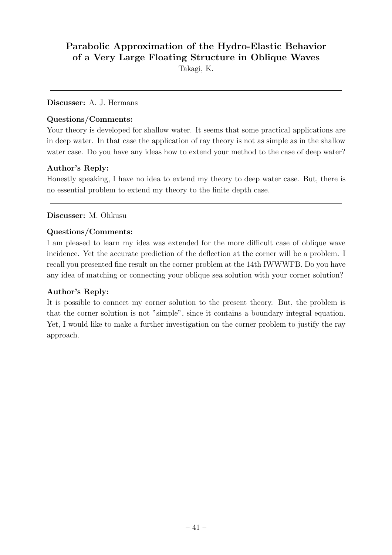## **Parabolic Approximation of the Hydro-Elastic Behavior of a VeryLarge Floating Structure in Oblique Waves**

Takagi, K.

#### **Discusser:** A. J. Hermans

#### **Questions/Comments:**

Your theory is developed for shallow water. It seems that some practical applications are in deep water. In that case the application of ray theory is not as simple as in the shallow water case. Do you have any ideas how to extend your method to the case of deep water?

### **Author's Reply:**

Honestly speaking, I have no idea to extend my theory to deep water case. But, there is no essential problem to extend my theory to the finite depth case.

### **Discusser:** M. Ohkusu

#### **Questions/Comments:**

I am pleased to learn my idea was extended for the more difficult case of oblique wave incidence. Yet the accurate prediction of the deflection at the corner will be a problem. I recall you presented fine result on the corner problem at the 14th IWWWFB. Do you have any idea of matching or connecting your oblique sea solution with your corner solution?

### **Author's Reply:**

It is possible to connect my corner solution to the present theory. But, the problem is that the corner solution is not "simple", since it contains a boundary integral equation. Yet, I would like to make a further investigation on the corner problem to justify the ray approach.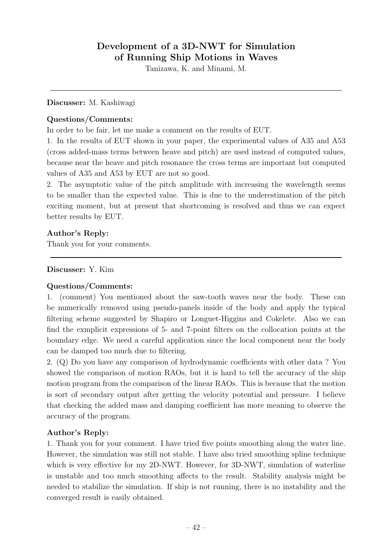## **Development of a 3D-NWT for Simulation of Running Ship Motions in Waves**

Tanizawa, K. and Minami, M.

#### **Discusser:** M. Kashiwagi

#### **Questions/Comments:**

In order to be fair, let me make a comment on the results of EUT.

1. In the results of EUT shown in your paper, the experimental values of A35 and A53 (cross added-mass terms between heave and pitch) are used instead of computed values, because near the heave and pitch resonance the cross terms are important but computed values of A35 and A53 by EUT are not so good.

2. The asymptotic value of the pitch amplitude with increasing the wavelength seems to be smaller than the expected value. This is due to the underestimation of the pitch exciting moment, but at present that shortcoming is resolved and thus we can expect better results by EUT.

#### **Author's Reply:**

Thank you for your comments.

#### **Discusser:** Y. Kim

#### **Questions/Comments:**

1. (comment) You mentioned about the saw-tooth waves near the body. These can be numerically removed using pseudo-panels inside of the body and apply the typical filtering scheme suggested by Shapiro or Longuet-Higgins and Cokelete. Also we can find the exmplicit expressions of 5- and 7-point filters on the collocation points at the boundary edge. We need a careful application since the local component near the body can be damped too much due to filtering.

2. (Q) Do you have any comparison of hydrodynamic coefficients with other data ? You showed the comparison of motion RAOs, but it is hard to tell the accuracy of the ship motion program from the comparison of the linear RAOs. This is because that the motion is sort of secondary output after getting the velocity potential and pressure. I believe that checking the added mass and damping coefficient has more meaning to observe the accuracy of the program.

#### **Author's Reply:**

1. Thank you for your comment. I have tried five points smoothing along the water line. However, the simulation was still not stable. I have also tried smoothing spline technique which is very effective for my 2D-NWT. However, for 3D-NWT, simulation of waterline is unstable and too much smoothing affects to the result. Stability analysis might be needed to stabilize the simulation. If ship is not running, there is no instability and the converged result is easily obtained.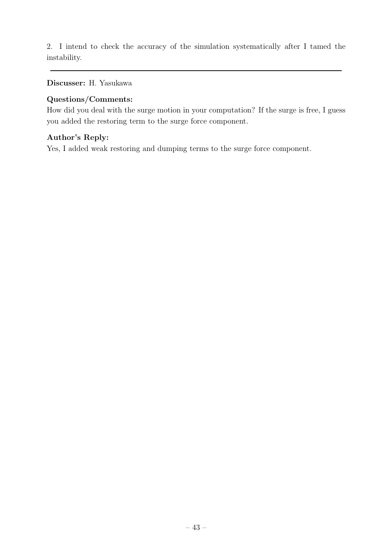2. I intend to check the accuracy of the simulation systematically after I tamed the instability.

**Discusser:** H. Yasukawa

### **Questions/Comments:**

How did you deal with the surge motion in your computation? If the surge is free, I guess you added the restoring term to the surge force component.

### **Author's Reply:**

Yes, I added weak restoring and dumping terms to the surge force component.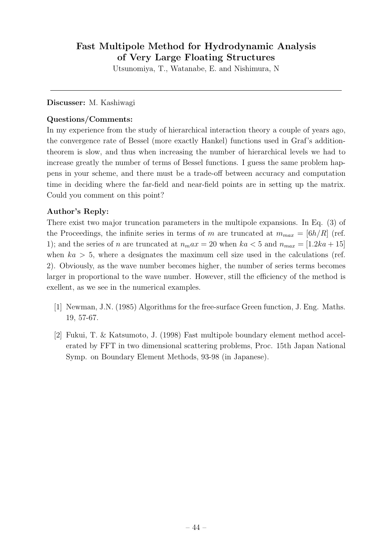## **Fast Multipole Method for Hydrodynamic Analysis of VeryLarge Floating Structures**

Utsunomiya, T., Watanabe, E. and Nishimura, N

#### **Discusser:** M. Kashiwagi

#### **Questions/Comments:**

In my experience from the study of hierarchical interaction theory a couple of years ago, the convergence rate of Bessel (more exactly Hankel) functions used in Graf's additiontheorem is slow, and thus when increasing the number of hierarchical levels we had to increase greatly the number of terms of Bessel functions. I guess the same problem happens in your scheme, and there must be a trade-off between accuracy and computation time in deciding where the far-field and near-field points are in setting up the matrix. Could you comment on this point?

### **Author's Reply:**

There exist two major truncation parameters in the multipole expansions. In Eq. (3) of the Proceedings, the infinite series in terms of m are truncated at  $m_{max} = \left[6h/R\right]$  (ref. 1); and the series of *n* are truncated at  $n_max = 20$  when  $ka < 5$  and  $n_{max} = [1.2ka + 15]$ when  $ka > 5$ , where a designates the maximum cell size used in the calculations (ref. 2). Obviously, as the wave number becomes higher, the number of series terms becomes larger in proportional to the wave number. However, still the efficiency of the method is exellent, as we see in the numerical examples.

- [1] Newman, J.N. (1985) Algorithms for the free-surface Green function, J. Eng. Maths. 19, 57-67.
- [2] Fukui, T. & Katsumoto, J. (1998) Fast multipole boundary element method accelerated by FFT in two dimensional scattering problems, Proc. 15th Japan National Symp. on Boundary Element Methods, 93-98 (in Japanese).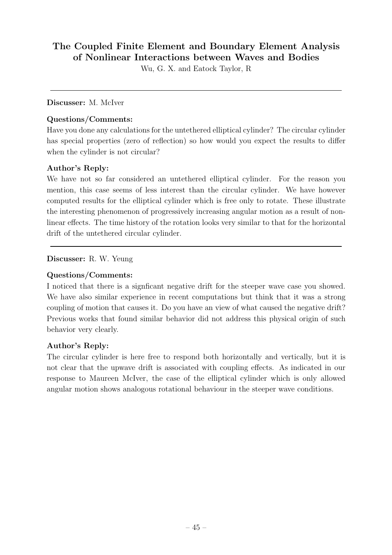## The Coupled Finite Element and Boundary Element Analysis **of Nonlinear Interactions between Waves and Bodies**

Wu, G. X. and Eatock Taylor, R

#### **Discusser:** M. McIver

#### **Questions/Comments:**

Have you done any calculations for the untethered elliptical cylinder? The circular cylinder has special properties (zero of reflection) so how would you expect the results to differ when the cylinder is not circular?

### **Author's Reply:**

We have not so far considered an untethered elliptical cylinder. For the reason you mention, this case seems of less interest than the circular cylinder. We have however computed results for the elliptical cylinder which is free only to rotate. These illustrate the interesting phenomenon of progressively increasing angular motion as a result of nonlinear effects. The time history of the rotation looks very similar to that for the horizontal drift of the untethered circular cylinder.

### **Discusser:** R. W. Yeung

### **Questions/Comments:**

I noticed that there is a signficant negative drift for the steeper wave case you showed. We have also similar experience in recent computations but think that it was a strong coupling of motion that causes it. Do you have an view of what caused the negative drift? Previous works that found similar behavior did not address this physical origin of such behavior very clearly.

#### **Author's Reply:**

The circular cylinder is here free to respond both horizontally and vertically, but it is not clear that the upwave drift is associated with coupling effects. As indicated in our response to Maureen McIver, the case of the elliptical cylinder which is only allowed angular motion shows analogous rotational behaviour in the steeper wave conditions.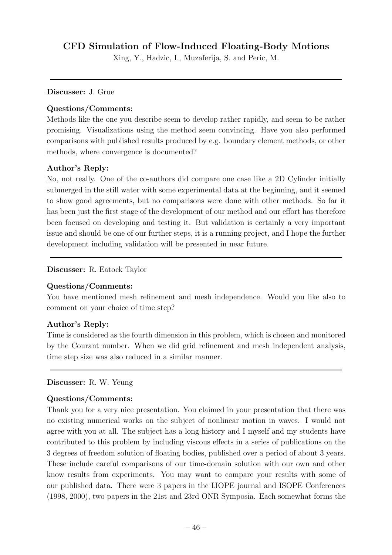## **CFD Simulation of Flow-Induced Floating-BodyMotions**

Xing, Y., Hadzic, I., Muzaferija, S. and Peric, M.

#### **Discusser:** J. Grue

#### **Questions/Comments:**

Methods like the one you describe seem to developrather rapidly, and seem to be rather promising. Visualizations using the method seem convincing. Have you also performed comparisons with published results produced by e.g. boundary element methods, or other methods, where convergence is documented?

### **Author's Reply:**

No, not really. One of the co-authors did compare one case like a 2D Cylinder initially submerged in the still water with some experimental data at the beginning, and it seemed to show good agreements, but no comparisons were done with other methods. So far it has been just the first stage of the development of our method and our effort has therefore been focused on developing and testing it. But validation is certainly a very important issue and should be one of our further steps, it is a running project, and I hope the further development including validation will be presented in near future.

#### **Discusser:** R. Eatock Taylor

#### **Questions/Comments:**

You have mentioned mesh refinement and mesh independence. Would you like also to comment on your choice of time step?

#### **Author's Reply:**

Time is considered as the fourth dimension in this problem, which is chosen and monitored by the Courant number. When we did grid refinement and mesh independent analysis, time step size was also reduced in a similar manner.

#### **Discusser:** R. W. Yeung

#### **Questions/Comments:**

Thank you for a very nice presentation. You claimed in your presentation that there was no existing numerical works on the subject of nonlinear motion in waves. I would not agree with you at all. The subject has a long history and I myself and my students have contributed to this problem by including viscous effects in a series of publications on the 3 degrees of freedom solution of floating bodies, published over a period of about 3 years. These include careful comparisons of our time-domain solution with our own and other know results from experiments. You may want to compare your results with some of our published data. There were 3 papers in the IJOPE journal and ISOPE Conferences (1998, 2000), two papers in the 21st and 23rd ONR Symposia. Each somewhat forms the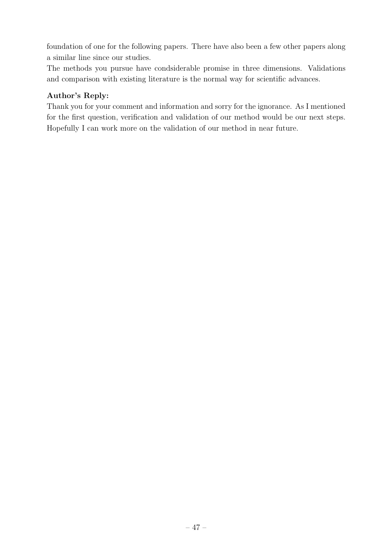foundation of one for the following papers. There have also been a few other papers along a similar line since our studies.

The methods you pursue have condsiderable promise in three dimensions. Validations and comparison with existing literature is the normal way for scientific advances.

### **Author's Reply:**

Thank you for your comment and information and sorry for the ignorance. As I mentioned for the first question, verification and validation of our method would be our next steps. Hopefully I can work more on the validation of our method in near future.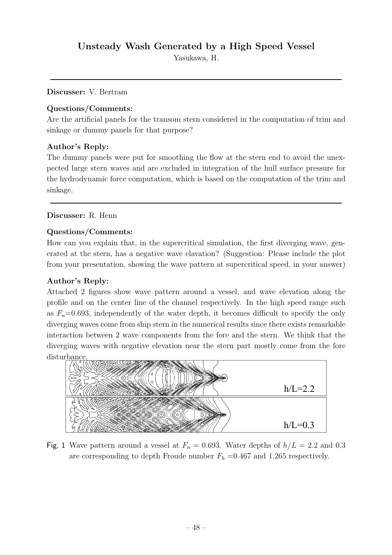Yasukawa, H.

**Discusser:** V. Bertram

### **Questions/Comments:**

Are the artificial panels for the transom stern considered in the computation of trim and sinkage or dummy panels for that purpose?

### **Author's Reply:**

The dummy panels were put for smoothing the flow at the stern end to avoid the unexpected large stern waves and are excluded in integration of the hull surface pressure for the hydrodynamic force computation, which is based on the computation of the trim and sinkage.

### **Discusser:** R. Henn

#### **Questions/Comments:**

How can you explain that, in the supercritical simulation, the first diverging wave, generated at the stern, has a negative wave elavation? (Suggestion: Please include the plot from your presentation, showing the wave pattern at supercritical speed, in your answer)

### **Author's Reply:**

Attached 2 figures show wave pattern around a vessel, and wave elevation along the profile and on the center line of the channel respectively. In the high speed range such as  $F_n$ =0.693, independently of the water depth, it becomes difficult to specify the only diverging waves come from shipstern in the numerical results since there exists remarkable interaction between 2 wave components from the fore and the stern. We think that the diverging waves with negative elevation near the stern part mostly come from the fore disturbance



Fig. 1 Wave pattern around a vessel at  $F_n = 0.693$ . Water depths of  $h/L = 2.2$  and 0.3 are corresponding to depth Froude number  $F_h$  =0.467 and 1.265 respectively.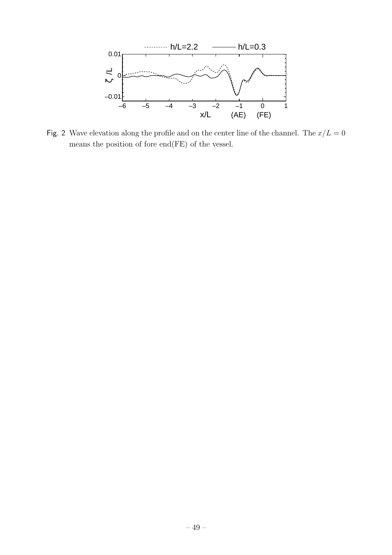

Fig. 2 Wave elevation along the profile and on the center line of the channel. The  $x/L = 0$ means the position of fore end(FE) of the vessel.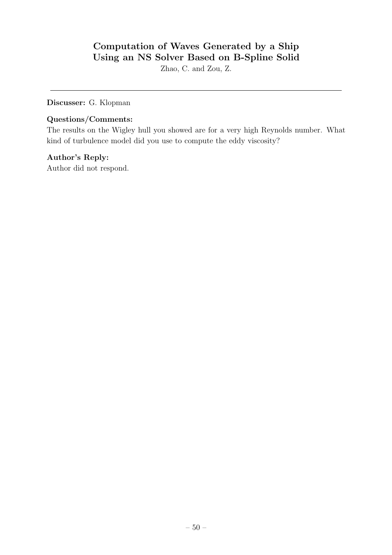## **Computation of Waves Generated bya Ship Using an NS Solver Based on B-Spline Solid**

Zhao, C. and Zou, Z.

**Discusser:** G. Klopman

### **Questions/Comments:**

The results on the Wigley hull you showed are for a very high Reynolds number. What kind of turbulence model did you use to compute the eddy viscosity?

### **Author's Reply:**

Author did not respond.